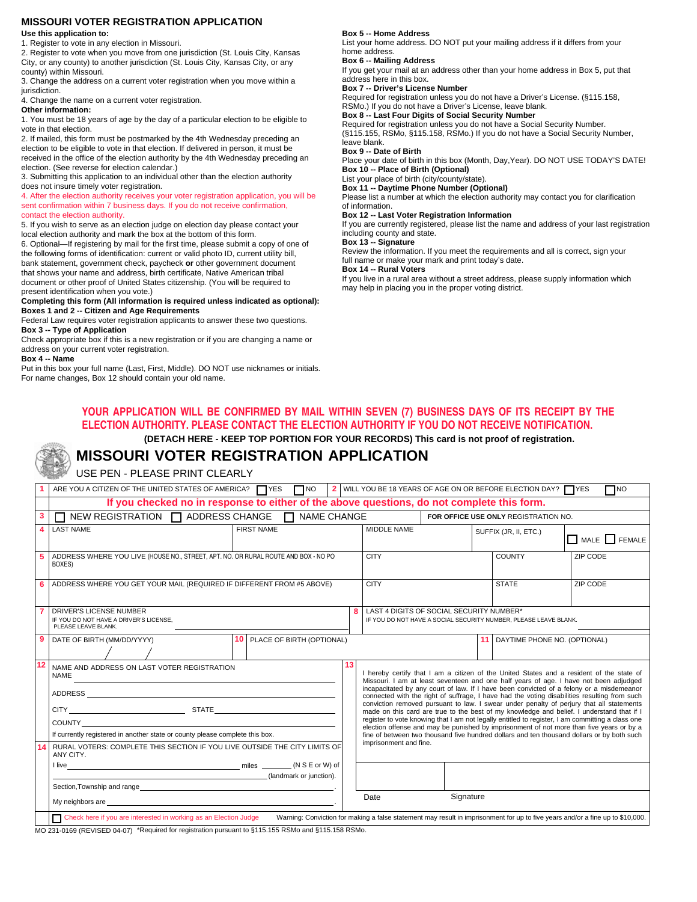### **MISSOURI VOTER REGISTRATION APPLICATION**

**Use this application to:** 

1. Register to vote in any election in Missouri. 2. Register to vote when you move from one jurisdiction (St. Louis City, Kansas City, or any county) to another jurisdiction (St. Louis City, Kansas City, or any

county) within Missouri. 3. Change the address on a current voter registration when you move within a jurisdiction.

4. Change the name on a current voter registration.

**Other information:** 

1. You must be 18 years of age by the day of a particular election to be eligible to vote in that election.

2. If mailed, this form must be postmarked by the 4th Wednesday preceding an election to be eligible to vote in that election. If delivered in person, it must be received in the office of the election authority by the 4th Wednesday preceding an election. (See reverse for election calendar.)

3. Submitting this application to an individual other than the election authority does not insure timely voter registration.

4. After the election authority receives your voter registration application, you will be sent confirmation within 7 business days. If you do not receive confirmation, contact the election authority.

5. If you wish to serve as an election judge on election day please contact your local election authority and mark the box at the bottom of this form.

6. Optional—If registering by mail for the first time, please submit a copy of one of the following forms of identification: current or valid photo ID, current utility bill, bank statement, government check, paycheck **or** other government document that shows your name and address, birth certificate, Native American tribal document or other proof of United States citizenship. (You will be required to

present identification when you vote.) **Completing this form (All information is required unless indicated as optional): Boxes 1 and 2 -- Citizen and Age Requirements** 

Federal Law requires voter registration applicants to answer these two questions.

**Box 3 -- Type of Application** 

Check appropriate box if this is a new registration or if you are changing a name or address on your current voter registration.

**Box 4 -- Name** 

Put in this box your full name (Last, First, Middle). DO NOT use nicknames or initials. For name changes, Box 12 should contain your old name.

#### **Box 5 -- Home Address**

List your home address. DO NOT put your mailing address if it differs from your home address.

#### **Box 6 -- Mailing Address**

If you get your mail at an address other than your home address in Box 5, put that address here in this box.

#### **Box 7 -- Driver's License Number**

Required for registration unless you do not have a Driver's License. (§115.158, RSMo.) If you do not have a Driver's License, leave blank.

**Box 8 -- Last Four Digits of Social Security Number** 

Required for registration unless you do not have a Social Security Number. (§115.155, RSMo, §115.158, RSMo.) If you do not have a Social Security Number, leave blank.

**Box 9 -- Date of Birth** 

Place your date of birth in this box (Month, Day,Year). DO NOT USE TODAY'S DATE! **Box 10 -- Place of Birth (Optional)** 

List your place of birth (city/county/state).

**Box 11 -- Daytime Phone Number (Optional)** 

Please list a number at which the election authority may contact you for clarification of information.

#### **Box 12 -- Last Voter Registration Information**

If you are currently registered, please list the name and address of your last registration including county and state.

**Box 13 -- Signature** 

Review the information. If you meet the requirements and all is correct, sign your full name or make your mark and print today's date.

#### **Box 14 -- Rural Voters**

If you live in a rural area without a street address, please supply information which may help in placing you in the proper voting district.

#### **YOUR APPLICATION WILL BE CONFIRMED BY MAIL WITHIN SEVEN (7) BUSINESS DAYS OF ITS RECEIPT BY THE ELECTION AUTHORITY. PLEASE CONTACT THE ELECTION AUTHORITY IF YOU DO NOT RECEIVE NOTIFICATION. (DETACH HERE - KEEP TOP PORTION FOR YOUR RECORDS) This card is not proof of registration.**

# **MISSOURI VOTER REGISTRATION APPLICATION**

USE PEN - PLEASE PRINT CLEARLY

|   | ARE YOU A CITIZEN OF THE UNITED STATES OF AMERICA? TYES TIMO                                                                                                                                                                                                                                                                                                                                                                                                                               |                                                                                    |  |    |                                                                                                                                                                                                                                                                                                                                                                                                                                                                                                                                                                                                                                                                                                                                                                                                                                                                                                |                                                                                                              |                       | 2 WILL YOU BE 18 YEARS OF AGE ON OR BEFORE ELECTION DAY? $\Box$ YES | $\Box$ NO   |
|---|--------------------------------------------------------------------------------------------------------------------------------------------------------------------------------------------------------------------------------------------------------------------------------------------------------------------------------------------------------------------------------------------------------------------------------------------------------------------------------------------|------------------------------------------------------------------------------------|--|----|------------------------------------------------------------------------------------------------------------------------------------------------------------------------------------------------------------------------------------------------------------------------------------------------------------------------------------------------------------------------------------------------------------------------------------------------------------------------------------------------------------------------------------------------------------------------------------------------------------------------------------------------------------------------------------------------------------------------------------------------------------------------------------------------------------------------------------------------------------------------------------------------|--------------------------------------------------------------------------------------------------------------|-----------------------|---------------------------------------------------------------------|-------------|
|   | If you checked no in response to either of the above questions, do not complete this form.                                                                                                                                                                                                                                                                                                                                                                                                 |                                                                                    |  |    |                                                                                                                                                                                                                                                                                                                                                                                                                                                                                                                                                                                                                                                                                                                                                                                                                                                                                                |                                                                                                              |                       |                                                                     |             |
| 3 | $\Box$ NEW REGISTRATION $\Box$ ADDRESS CHANGE $\Box$ NAME CHANGE                                                                                                                                                                                                                                                                                                                                                                                                                           |                                                                                    |  |    |                                                                                                                                                                                                                                                                                                                                                                                                                                                                                                                                                                                                                                                                                                                                                                                                                                                                                                | FOR OFFICE USE ONLY REGISTRATION NO.                                                                         |                       |                                                                     |             |
|   | <b>LAST NAME</b>                                                                                                                                                                                                                                                                                                                                                                                                                                                                           | <b>FIRST NAME</b>                                                                  |  |    | MIDDLE NAME                                                                                                                                                                                                                                                                                                                                                                                                                                                                                                                                                                                                                                                                                                                                                                                                                                                                                    |                                                                                                              | SUFFIX (JR, II, ETC.) |                                                                     | MALE FEMALE |
|   | BOXES)                                                                                                                                                                                                                                                                                                                                                                                                                                                                                     | ADDRESS WHERE YOU LIVE (HOUSE NO., STREET, APT. NO. OR RURAL ROUTE AND BOX - NO PO |  |    | <b>CITY</b>                                                                                                                                                                                                                                                                                                                                                                                                                                                                                                                                                                                                                                                                                                                                                                                                                                                                                    |                                                                                                              |                       | <b>COUNTY</b>                                                       | ZIP CODE    |
|   |                                                                                                                                                                                                                                                                                                                                                                                                                                                                                            | ADDRESS WHERE YOU GET YOUR MAIL (REQUIRED IF DIFFERENT FROM #5 ABOVE)              |  |    | <b>CITY</b>                                                                                                                                                                                                                                                                                                                                                                                                                                                                                                                                                                                                                                                                                                                                                                                                                                                                                    |                                                                                                              |                       | <b>STATE</b>                                                        | ZIP CODE    |
|   | <b>DRIVER'S LICENSE NUMBER</b><br>IF YOU DO NOT HAVE A DRIVER'S LICENSE,<br>PLEASE LEAVE BLANK.                                                                                                                                                                                                                                                                                                                                                                                            | 8                                                                                  |  |    |                                                                                                                                                                                                                                                                                                                                                                                                                                                                                                                                                                                                                                                                                                                                                                                                                                                                                                | LAST 4 DIGITS OF SOCIAL SECURITY NUMBER*<br>IF YOU DO NOT HAVE A SOCIAL SECURITY NUMBER. PLEASE LEAVE BLANK. |                       |                                                                     |             |
| 9 | DATE OF BIRTH (MM/DD/YYYY)                                                                                                                                                                                                                                                                                                                                                                                                                                                                 | <b>10 PLACE OF BIRTH (OPTIONAL)</b>                                                |  |    |                                                                                                                                                                                                                                                                                                                                                                                                                                                                                                                                                                                                                                                                                                                                                                                                                                                                                                |                                                                                                              |                       | <b>11</b> DAYTIME PHONE NO. (OPTIONAL)                              |             |
|   | NAME AND ADDRESS ON LAST VOTER REGISTRATION<br><b>NAME</b><br>CITY STATE<br>If currently registered in another state or county please complete this box.                                                                                                                                                                                                                                                                                                                                   |                                                                                    |  | 13 | I hereby certify that I am a citizen of the United States and a resident of the state of<br>Missouri. I am at least seventeen and one half years of age. I have not been adjudged<br>incapacitated by any court of law. If I have been convicted of a felony or a misdemeanor<br>connected with the right of suffrage, I have had the voting disabilities resulting from such<br>conviction removed pursuant to law. I swear under penalty of perjury that all statements<br>made on this card are true to the best of my knowledge and belief. I understand that if I<br>register to vote knowing that I am not legally entitled to register, I am committing a class one<br>election offense and may be punished by imprisonment of not more than five years or by a<br>fine of between two thousand five hundred dollars and ten thousand dollars or by both such<br>imprisonment and fine. |                                                                                                              |                       |                                                                     |             |
|   |                                                                                                                                                                                                                                                                                                                                                                                                                                                                                            |                                                                                    |  |    |                                                                                                                                                                                                                                                                                                                                                                                                                                                                                                                                                                                                                                                                                                                                                                                                                                                                                                |                                                                                                              |                       |                                                                     |             |
|   |                                                                                                                                                                                                                                                                                                                                                                                                                                                                                            |                                                                                    |  |    |                                                                                                                                                                                                                                                                                                                                                                                                                                                                                                                                                                                                                                                                                                                                                                                                                                                                                                |                                                                                                              |                       |                                                                     |             |
|   |                                                                                                                                                                                                                                                                                                                                                                                                                                                                                            |                                                                                    |  |    |                                                                                                                                                                                                                                                                                                                                                                                                                                                                                                                                                                                                                                                                                                                                                                                                                                                                                                |                                                                                                              |                       |                                                                     |             |
|   |                                                                                                                                                                                                                                                                                                                                                                                                                                                                                            |                                                                                    |  |    |                                                                                                                                                                                                                                                                                                                                                                                                                                                                                                                                                                                                                                                                                                                                                                                                                                                                                                |                                                                                                              |                       |                                                                     |             |
|   | RURAL VOTERS: COMPLETE THIS SECTION IF YOU LIVE OUTSIDE THE CITY LIMITS OF<br>ANY CITY.                                                                                                                                                                                                                                                                                                                                                                                                    |                                                                                    |  |    |                                                                                                                                                                                                                                                                                                                                                                                                                                                                                                                                                                                                                                                                                                                                                                                                                                                                                                |                                                                                                              |                       |                                                                     |             |
|   | (landmark or junction).<br>Section, Township and range entrance and the section of the section of the section of the section of the section of the section of the section of the section of the section of the section of the section of the section of t<br>My neighbors are a control of the control of the control of the control of the control of the control of the control of the control of the control of the control of the control of the control of the control of the control |                                                                                    |  |    |                                                                                                                                                                                                                                                                                                                                                                                                                                                                                                                                                                                                                                                                                                                                                                                                                                                                                                |                                                                                                              |                       |                                                                     |             |
|   |                                                                                                                                                                                                                                                                                                                                                                                                                                                                                            |                                                                                    |  |    |                                                                                                                                                                                                                                                                                                                                                                                                                                                                                                                                                                                                                                                                                                                                                                                                                                                                                                |                                                                                                              |                       |                                                                     |             |
|   |                                                                                                                                                                                                                                                                                                                                                                                                                                                                                            |                                                                                    |  |    | Signature<br>Date                                                                                                                                                                                                                                                                                                                                                                                                                                                                                                                                                                                                                                                                                                                                                                                                                                                                              |                                                                                                              |                       |                                                                     |             |
|   | Warning: Conviction for making a false statement may result in imprisonment for up to five years and/or a fine up to \$10,000.<br>Check here if you are interested in working as an Election Judge                                                                                                                                                                                                                                                                                         |                                                                                    |  |    |                                                                                                                                                                                                                                                                                                                                                                                                                                                                                                                                                                                                                                                                                                                                                                                                                                                                                                |                                                                                                              |                       |                                                                     |             |

MO 231-0169 (REVISED 04-07) \*Required for registration pursuant to §115.155 RSMo and §115.158 RSMo.